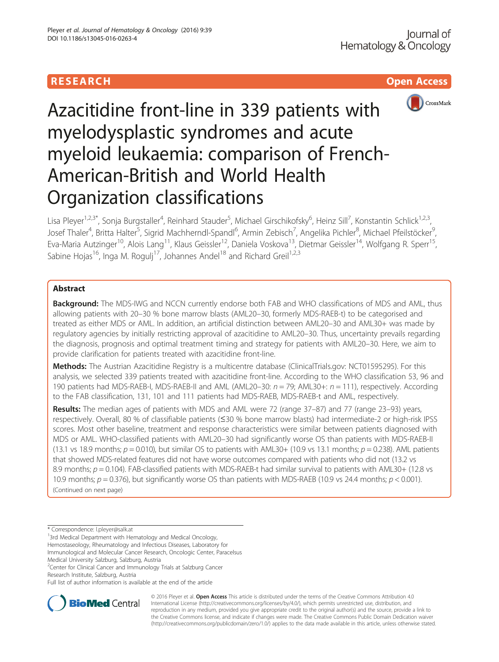## RESEARCH **RESEARCH CHOOSE ACCESS**



# Azacitidine front-line in 339 patients with myelodysplastic syndromes and acute myeloid leukaemia: comparison of French-American-British and World Health Organization classifications

Lisa Pleyer<sup>1,2,3\*</sup>, Sonja Burgstaller<sup>4</sup>, Reinhard Stauder<sup>5</sup>, Michael Girschikofsky<sup>6</sup>, Heinz Sill<sup>7</sup>, Konstantin Schlick<sup>1,2,3</sup>, Josef Thaler<sup>4</sup>, Britta Halter<sup>5</sup>, Sigrid Machherndl-Spandl<sup>6</sup>, Armin Zebisch<sup>7</sup>, Angelika Pichler<sup>8</sup>, Michael Pfeilstöcker<sup>9</sup> , Eva-Maria Autzinger<sup>10</sup>, Alois Lang<sup>11</sup>, Klaus Geissler<sup>12</sup>, Daniela Voskova<sup>13</sup>, Dietmar Geissler<sup>14</sup>, Wolfgang R. Sperr<sup>15</sup>, Sabine Hojas<sup>16</sup>, Inga M. Rogulj<sup>17</sup>, Johannes Andel<sup>18</sup> and Richard Greil<sup>1,2,3</sup>

## Abstract

**Background:** The MDS-IWG and NCCN currently endorse both FAB and WHO classifications of MDS and AML, thus allowing patients with 20–30 % bone marrow blasts (AML20–30, formerly MDS-RAEB-t) to be categorised and treated as either MDS or AML. In addition, an artificial distinction between AML20–30 and AML30+ was made by regulatory agencies by initially restricting approval of azacitidine to AML20–30. Thus, uncertainty prevails regarding the diagnosis, prognosis and optimal treatment timing and strategy for patients with AML20–30. Here, we aim to provide clarification for patients treated with azacitidine front-line.

Methods: The Austrian Azacitidine Registry is a multicentre database (ClinicalTrials.gov: NCT01595295). For this analysis, we selected 339 patients treated with azacitidine front-line. According to the WHO classification 53, 96 and 190 patients had MDS-RAEB-I, MDS-RAEB-II and AML (AML20-30:  $n = 79$ ; AML30+:  $n = 111$ ), respectively. According to the FAB classification, 131, 101 and 111 patients had MDS-RAEB, MDS-RAEB-t and AML, respectively.

Results: The median ages of patients with MDS and AML were 72 (range 37-87) and 77 (range 23-93) years, respectively. Overall, 80 % of classifiable patients (≤30 % bone marrow blasts) had intermediate-2 or high-risk IPSS scores. Most other baseline, treatment and response characteristics were similar between patients diagnosed with MDS or AML. WHO-classified patients with AML20–30 had significantly worse OS than patients with MDS-RAEB-II (13.1 vs 18.9 months;  $p = 0.010$ ), but similar OS to patients with AML30+ (10.9 vs 13.1 months;  $p = 0.238$ ). AML patients that showed MDS-related features did not have worse outcomes compared with patients who did not (13.2 vs 8.9 months;  $p = 0.104$ ). FAB-classified patients with MDS-RAEB-t had similar survival to patients with AML30+ (12.8 vs 10.9 months;  $p = 0.376$ ), but significantly worse OS than patients with MDS-RAEB (10.9 vs 24.4 months;  $p < 0.001$ ). (Continued on next page)

Immunological and Molecular Cancer Research, Oncologic Center, Paracelsus Medical University Salzburg, Salzburg, Austria

<sup>2</sup> Center for Clinical Cancer and Immunology Trials at Salzburg Cancer

Full list of author information is available at the end of the article



© 2016 Pleyer et al. Open Access This article is distributed under the terms of the Creative Commons Attribution 4.0 International License [\(http://creativecommons.org/licenses/by/4.0/](http://creativecommons.org/licenses/by/4.0/)), which permits unrestricted use, distribution, and reproduction in any medium, provided you give appropriate credit to the original author(s) and the source, provide a link to the Creative Commons license, and indicate if changes were made. The Creative Commons Public Domain Dedication waiver [\(http://creativecommons.org/publicdomain/zero/1.0/](http://creativecommons.org/publicdomain/zero/1.0/)) applies to the data made available in this article, unless otherwise stated.

<sup>\*</sup> Correspondence: [l.pleyer@salk.at](mailto:l.pleyer@salk.at) <sup>1</sup>

<sup>&</sup>lt;sup>1</sup>3rd Medical Department with Hematology and Medical Oncology,

Hemostaseology, Rheumatology and Infectious Diseases, Laboratory for

Research Institute, Salzburg, Austria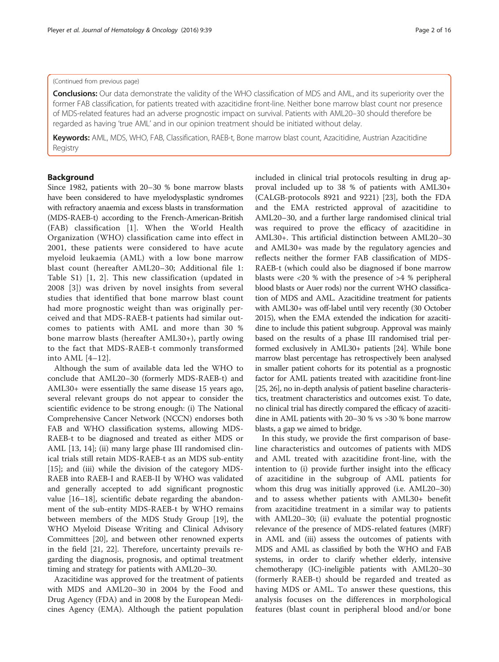### (Continued from previous page)

Conclusions: Our data demonstrate the validity of the WHO classification of MDS and AML, and its superiority over the former FAB classification, for patients treated with azacitidine front-line. Neither bone marrow blast count nor presence of MDS-related features had an adverse prognostic impact on survival. Patients with AML20–30 should therefore be regarded as having 'true AML' and in our opinion treatment should be initiated without delay.

Keywords: AML, MDS, WHO, FAB, Classification, RAEB-t, Bone marrow blast count, Azacitidine, Austrian Azacitidine Registry

## Background

Since 1982, patients with 20–30 % bone marrow blasts have been considered to have myelodysplastic syndromes with refractory anaemia and excess blasts in transformation (MDS-RAEB-t) according to the French-American-British (FAB) classification [[1\]](#page-13-0). When the World Health Organization (WHO) classification came into effect in 2001, these patients were considered to have acute myeloid leukaemia (AML) with a low bone marrow blast count (hereafter AML20–30; Additional file [1](#page-12-0): Table S1) [\[1, 2\]](#page-13-0). This new classification (updated in 2008 [\[3\]](#page-13-0)) was driven by novel insights from several studies that identified that bone marrow blast count had more prognostic weight than was originally perceived and that MDS-RAEB-t patients had similar outcomes to patients with AML and more than 30 % bone marrow blasts (hereafter AML30+), partly owing to the fact that MDS-RAEB-t commonly transformed into AML [\[4](#page-13-0)–[12\]](#page-13-0).

Although the sum of available data led the WHO to conclude that AML20–30 (formerly MDS-RAEB-t) and AML30+ were essentially the same disease 15 years ago, several relevant groups do not appear to consider the scientific evidence to be strong enough: (i) The National Comprehensive Cancer Network (NCCN) endorses both FAB and WHO classification systems, allowing MDS-RAEB-t to be diagnosed and treated as either MDS or AML [[13, 14\]](#page-13-0); (ii) many large phase III randomised clinical trials still retain MDS-RAEB-t as an MDS sub-entity [[15\]](#page-13-0); and (iii) while the division of the category MDS-RAEB into RAEB-I and RAEB-II by WHO was validated and generally accepted to add significant prognostic value [\[16](#page-13-0)–[18\]](#page-13-0), scientific debate regarding the abandonment of the sub-entity MDS-RAEB-t by WHO remains between members of the MDS Study Group [[19](#page-13-0)], the WHO Myeloid Disease Writing and Clinical Advisory Committees [[20\]](#page-13-0), and between other renowned experts in the field [[21, 22\]](#page-13-0). Therefore, uncertainty prevails regarding the diagnosis, prognosis, and optimal treatment timing and strategy for patients with AML20–30.

Azacitidine was approved for the treatment of patients with MDS and AML20–30 in 2004 by the Food and Drug Agency (FDA) and in 2008 by the European Medicines Agency (EMA). Although the patient population included in clinical trial protocols resulting in drug approval included up to 38 % of patients with AML30+ (CALGB-protocols 8921 and 9221) [[23\]](#page-13-0), both the FDA and the EMA restricted approval of azacitidine to AML20–30, and a further large randomised clinical trial was required to prove the efficacy of azacitidine in AML30+. This artificial distinction between AML20–30 and AML30+ was made by the regulatory agencies and reflects neither the former FAB classification of MDS-RAEB-t (which could also be diagnosed if bone marrow blasts were <20 % with the presence of >4 % peripheral blood blasts or Auer rods) nor the current WHO classification of MDS and AML. Azacitidine treatment for patients with AML30+ was off-label until very recently (30 October 2015), when the EMA extended the indication for azacitidine to include this patient subgroup. Approval was mainly based on the results of a phase III randomised trial performed exclusively in AML30+ patients [[24](#page-13-0)]. While bone marrow blast percentage has retrospectively been analysed in smaller patient cohorts for its potential as a prognostic factor for AML patients treated with azacitidine front-line [[25](#page-13-0), [26](#page-13-0)], no in-depth analysis of patient baseline characteristics, treatment characteristics and outcomes exist. To date, no clinical trial has directly compared the efficacy of azacitidine in AML patients with 20–30 % vs >30 % bone marrow blasts, a gap we aimed to bridge.

In this study, we provide the first comparison of baseline characteristics and outcomes of patients with MDS and AML treated with azacitidine front-line, with the intention to (i) provide further insight into the efficacy of azacitidine in the subgroup of AML patients for whom this drug was initially approved (i.e. AML20–30) and to assess whether patients with AML30+ benefit from azacitidine treatment in a similar way to patients with AML20–30; (ii) evaluate the potential prognostic relevance of the presence of MDS-related features (MRF) in AML and (iii) assess the outcomes of patients with MDS and AML as classified by both the WHO and FAB systems, in order to clarify whether elderly, intensive chemotherapy (IC)-ineligible patients with AML20–30 (formerly RAEB-t) should be regarded and treated as having MDS or AML. To answer these questions, this analysis focuses on the differences in morphological features (blast count in peripheral blood and/or bone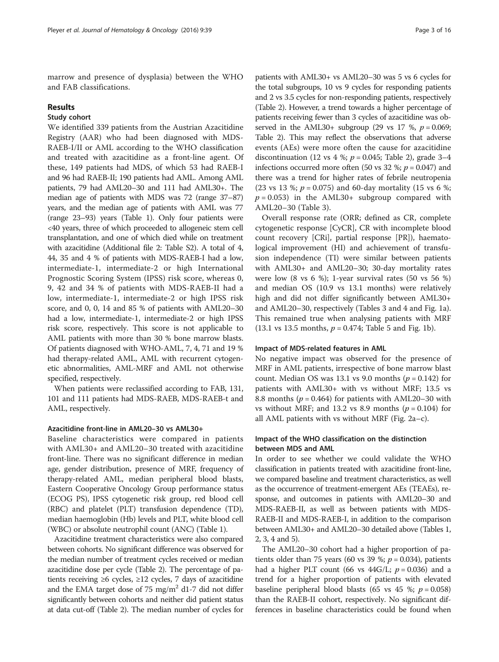marrow and presence of dysplasia) between the WHO and FAB classifications.

#### Results

## Study cohort

We identified 339 patients from the Austrian Azacitidine Registry (AAR) who had been diagnosed with MDS-RAEB-I/II or AML according to the WHO classification and treated with azacitidine as a front-line agent. Of these, 149 patients had MDS, of which 53 had RAEB-I and 96 had RAEB-II; 190 patients had AML. Among AML patients, 79 had AML20–30 and 111 had AML30+. The median age of patients with MDS was 72 (range 37–87) years, and the median age of patients with AML was 77 (range 23–93) years (Table [1](#page-3-0)). Only four patients were <40 years, three of which proceeded to allogeneic stem cell transplantation, and one of which died while on treatment with azacitidine (Additional file [2](#page-12-0): Table S2). A total of 4, 44, 35 and 4 % of patients with MDS-RAEB-I had a low, intermediate-1, intermediate-2 or high International Prognostic Scoring System (IPSS) risk score, whereas 0, 9, 42 and 34 % of patients with MDS-RAEB-II had a low, intermediate-1, intermediate-2 or high IPSS risk score, and 0, 0, 14 and 85 % of patients with AML20–30 had a low, intermediate-1, intermediate-2 or high IPSS risk score, respectively. This score is not applicable to AML patients with more than 30 % bone marrow blasts. Of patients diagnosed with WHO-AML, 7, 4, 71 and 19 % had therapy-related AML, AML with recurrent cytogenetic abnormalities, AML-MRF and AML not otherwise specified, respectively.

When patients were reclassified according to FAB, 131, 101 and 111 patients had MDS-RAEB, MDS-RAEB-t and AML, respectively.

## Azacitidine front-line in AML20–30 vs AML30+

Baseline characteristics were compared in patients with AML30+ and AML20–30 treated with azacitidine front-line. There was no significant difference in median age, gender distribution, presence of MRF, frequency of therapy-related AML, median peripheral blood blasts, Eastern Cooperative Oncology Group performance status (ECOG PS), IPSS cytogenetic risk group, red blood cell (RBC) and platelet (PLT) transfusion dependence (TD), median haemoglobin (Hb) levels and PLT, white blood cell (WBC) or absolute neutrophil count (ANC) (Table [1\)](#page-3-0).

Azacitidine treatment characteristics were also compared between cohorts. No significant difference was observed for the median number of treatment cycles received or median azacitidine dose per cycle (Table [2\)](#page-4-0). The percentage of patients receiving  $\geq 6$  cycles,  $\geq 12$  cycles, 7 days of azacitidine and the EMA target dose of  $75 \text{ mg/m}^2$  d1-7 did not differ significantly between cohorts and neither did patient status at data cut-off (Table [2](#page-4-0)). The median number of cycles for

patients with AML30+ vs AML20–30 was 5 vs 6 cycles for the total subgroups, 10 vs 9 cycles for responding patients and 2 vs 3.5 cycles for non-responding patients, respectively (Table [2\)](#page-4-0). However, a trend towards a higher percentage of patients receiving fewer than 3 cycles of azacitidine was observed in the AML30+ subgroup (29 vs 17 %,  $p = 0.069$ ; Table [2](#page-4-0)). This may reflect the observations that adverse events (AEs) were more often the cause for azacitidine discontinuation (12 vs 4 %;  $p = 0.045$ ; Table [2](#page-4-0)), grade 3–4 infections occurred more often (50 vs 32 %;  $p = 0.047$ ) and there was a trend for higher rates of febrile neutropenia (23 vs 13 %;  $p = 0.075$ ) and 60-day mortality (15 vs 6 %;  $p = 0.053$ ) in the AML30+ subgroup compared with AML20–30 (Table [3\)](#page-5-0).

Overall response rate (ORR; defined as CR, complete cytogenetic response [CyCR], CR with incomplete blood count recovery [CRi], partial response [PR]), haematological improvement (HI) and achievement of transfusion independence (TI) were similar between patients with AML30+ and AML20–30; 30-day mortality rates were low (8 vs 6 %); 1-year survival rates (50 vs 56 %) and median OS (10.9 vs 13.1 months) were relatively high and did not differ significantly between AML30+ and AML20–30, respectively (Tables [3](#page-5-0) and [4](#page-6-0) and Fig. [1a](#page-7-0)). This remained true when analysing patients with MRF (13.1 vs 13.5 months,  $p = 0.474$ ; Table [5](#page-8-0) and Fig. [1b\)](#page-7-0).

#### Impact of MDS-related features in AML

No negative impact was observed for the presence of MRF in AML patients, irrespective of bone marrow blast count. Median OS was 13.1 vs 9.0 months ( $p = 0.142$ ) for patients with AML30+ with vs without MRF; 13.5 vs 8.8 months ( $p = 0.464$ ) for patients with AML20–30 with vs without MRF; and 13.2 vs 8.9 months ( $p = 0.104$ ) for all AML patients with vs without MRF (Fig. [2a](#page-9-0)–[c\)](#page-9-0).

## Impact of the WHO classification on the distinction between MDS and AML

In order to see whether we could validate the WHO classification in patients treated with azacitidine front-line, we compared baseline and treatment characteristics, as well as the occurrence of treatment-emergent AEs (TEAEs), response, and outcomes in patients with AML20–30 and MDS-RAEB-II, as well as between patients with MDS-RAEB-II and MDS-RAEB-I, in addition to the comparison between AML30+ and AML20–30 detailed above (Tables [1](#page-3-0), [2](#page-4-0), [3,](#page-5-0) [4](#page-6-0) and [5\)](#page-8-0).

The AML20–30 cohort had a higher proportion of patients older than 75 years (60 vs 39 %;  $p = 0.034$ ), patients had a higher PLT count (66 vs  $44G/L$ ;  $p = 0.036$ ) and a trend for a higher proportion of patients with elevated baseline peripheral blood blasts (65 vs 45 %;  $p = 0.058$ ) than the RAEB-II cohort, respectively. No significant differences in baseline characteristics could be found when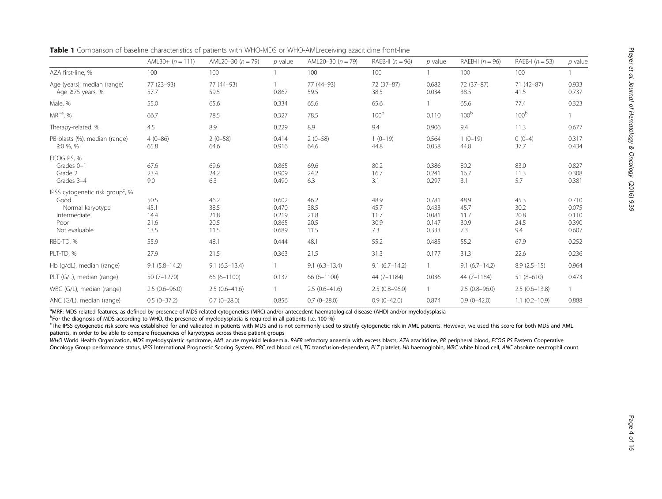|                                                                                                                   | AML30+ $(n = 111)$                   | AML20-30 $(n = 79)$                  | $p$ value                                 | AML20-30 $(n = 79)$                  | RAEB-II $(n = 96)$                  | $p$ value                                 | RAEB-II $(n = 96)$                  | RAEB-I $(n = 53)$                   | $p$ value                                 |
|-------------------------------------------------------------------------------------------------------------------|--------------------------------------|--------------------------------------|-------------------------------------------|--------------------------------------|-------------------------------------|-------------------------------------------|-------------------------------------|-------------------------------------|-------------------------------------------|
| AZA first-line, %                                                                                                 | 100                                  | 100                                  |                                           | 100                                  | 100                                 |                                           | 100                                 | 100                                 |                                           |
| Age (years), median (range)<br>Age $\geq$ 75 years, %                                                             | 77 (23-93)<br>57.7                   | 77 (44-93)<br>59.5                   | 0.867                                     | 77 (44-93)<br>59.5                   | 72 (37-87)<br>38.5                  | 0.682<br>0.034                            | 72 (37-87)<br>38.5                  | 71 (42-87)<br>41.5                  | 0.933<br>0.737                            |
| Male, %                                                                                                           | 55.0                                 | 65.6                                 | 0.334                                     | 65.6                                 | 65.6                                |                                           | 65.6                                | 77.4                                | 0.323                                     |
| MRFª, %                                                                                                           | 66.7                                 | 78.5                                 | 0.327                                     | 78.5                                 | 100 <sup>b</sup>                    | 0.110                                     | 100 <sup>b</sup>                    | 100 <sup>b</sup>                    |                                           |
| Therapy-related, %                                                                                                | 4.5                                  | 8.9                                  | 0.229                                     | 8.9                                  | 9.4                                 | 0.906                                     | 9.4                                 | 11.3                                | 0.677                                     |
| PB-blasts (%), median (range)<br>$\geq 0$ %, %                                                                    | $4(0-86)$<br>65.8                    | $2(0-58)$<br>64.6                    | 0.414<br>0.916                            | $2(0-58)$<br>64.6                    | $1(0-19)$<br>44.8                   | 0.564<br>0.058                            | $1(0-19)$<br>44.8                   | $0(0-4)$<br>37.7                    | 0.317<br>0.434                            |
| ECOG PS. %<br>Grades 0-1<br>Grade 2<br>Grades 3-4                                                                 | 67.6<br>23.4<br>9.0                  | 69.6<br>24.2<br>6.3                  | 0.865<br>0.909<br>0.490                   | 69.6<br>24.2<br>6.3                  | 80.2<br>16.7<br>3.1                 | 0.386<br>0.241<br>0.297                   | 80.2<br>16.7<br>3.1                 | 83.0<br>11.3<br>5.7                 | 0.827<br>0.308<br>0.381                   |
| IPSS cytogenetic risk group <sup>c</sup> , %<br>Good<br>Normal karyotype<br>Intermediate<br>Poor<br>Not evaluable | 50.5<br>45.1<br>14.4<br>21.6<br>13.5 | 46.2<br>38.5<br>21.8<br>20.5<br>11.5 | 0.602<br>0.470<br>0.219<br>0.865<br>0.689 | 46.2<br>38.5<br>21.8<br>20.5<br>11.5 | 48.9<br>45.7<br>11.7<br>30.9<br>7.3 | 0.781<br>0.433<br>0.081<br>0.147<br>0.333 | 48.9<br>45.7<br>11.7<br>30.9<br>7.3 | 45.3<br>30.2<br>20.8<br>24.5<br>9.4 | 0.710<br>0.075<br>0.110<br>0.390<br>0.607 |
| RBC-TD, %                                                                                                         | 55.9                                 | 48.1                                 | 0.444                                     | 48.1                                 | 55.2                                | 0.485                                     | 55.2                                | 67.9                                | 0.252                                     |
| PLT-TD, %                                                                                                         | 27.9                                 | 21.5                                 | 0.363                                     | 21.5                                 | 31.3                                | 0.177                                     | 31.3                                | 22.6                                | 0.236                                     |
| Hb (g/dL), median (range)                                                                                         | $9.1(5.8 - 14.2)$                    | $9.1(6.3 - 13.4)$                    |                                           | $9.1(6.3 - 13.4)$                    | $9.1(6.7-14.2)$                     |                                           | $9.1(6.7-14.2)$                     | $8.9(2.5-15)$                       | 0.964                                     |
| PLT (G/L), median (range)                                                                                         | $50(7-1270)$                         | 66 (6-1100)                          | 0.137                                     | 66 (6-1100)                          | 44 (7-1184)                         | 0.036                                     | 44 (7-1184)                         | $51(8-610)$                         | 0.473                                     |
| WBC (G/L), median (range)                                                                                         | $2.5(0.6 - 96.0)$                    | $2.5(0.6-41.6)$                      |                                           | $2.5(0.6-41.6)$                      | $2.5(0.8-96.0)$                     |                                           | $2.5(0.8-96.0)$                     | $2.5(0.6 - 13.8)$                   |                                           |
| ANC (G/L), median (range)                                                                                         | $0.5(0-37.2)$                        | $0.7(0-28.0)$                        | 0.856                                     | $0.7(0-28.0)$                        | $0.9(0-42.0)$                       | 0.874                                     | $0.9(0-42.0)$                       | $1.1(0.2 - 10.9)$                   | 0.888                                     |

<span id="page-3-0"></span>Table 1 Comparison of baseline characteristics of patients with WHO-MDS or WHO-AMLreceiving azacitidine front-line

<sup>a</sup>MRF: MDS-related features, as defined by presence of MDS-related cytogenetics (MRC) and/or antecedent haematological disease (AHD) and/or myelodysplasia<br>PEor the diagnosis of MDS according to MHO, the presence of myelod

 $P$  <sup>b</sup>For the diagnosis of MDS according to WHO, the presence of myelodysplasia is required in all patients (i.e. 100 %)

The IPSS cytogenetic risk score was established for and validated in patients with MDS and is not commonly used to stratify cytogenetic risk in AML patients. However, we used this score for both MDS and AML patients, in order to be able to compare frequencies of karyotypes across these patient groups

WHO World Health Organization, MDS myelodysplastic syndrome, AML acute myeloid leukaemia, RAEB refractory anaemia with excess blasts, AZA azacitidine, PB peripheral blood, ECOG PS Eastern Cooperative Oncology Group performance status, IPSS International Prognostic Scoring System, RBC red blood cell, TD transfusion-dependent, PLT platelet, Hb haemoglobin, WBC white blood cell, ANC absolute neutrophil count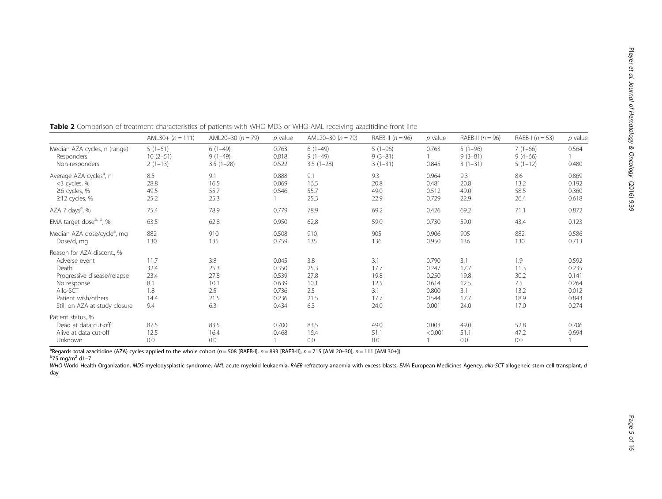|                                                                                                                                                                      | AML30+ $(n = 111)$                                | AML20-30 $(n = 79)$                               | $p$ value                                                   | AML20-30 $(n = 79)$                               | RAEB-II $(n = 96)$                                 | $p$ value                                                   | RAEB-II $(n = 96)$                                 | RAEB-I $(n = 53)$                                  | $p$ value                                                   |
|----------------------------------------------------------------------------------------------------------------------------------------------------------------------|---------------------------------------------------|---------------------------------------------------|-------------------------------------------------------------|---------------------------------------------------|----------------------------------------------------|-------------------------------------------------------------|----------------------------------------------------|----------------------------------------------------|-------------------------------------------------------------|
| Median AZA cycles, n (range)<br>Responders<br>Non-responders                                                                                                         | $5(1-51)$<br>$10(2-51)$<br>$2(1-13)$              | $6(1-49)$<br>$9(1-49)$<br>$3.5(1-28)$             | 0.763<br>0.818<br>0.522                                     | $6(1-49)$<br>$9(1-49)$<br>$3.5(1-28)$             | $5(1-96)$<br>$9(3-81)$<br>$3(1-31)$                | 0.763<br>0.845                                              | $5(1-96)$<br>$9(3-81)$<br>$3(1-31)$                | $7(1-66)$<br>$9(4-66)$<br>$5(1-12)$                | 0.564<br>0.480                                              |
| Average AZA cycles <sup>a</sup> , n<br><3 cycles, %<br>$\geq$ 6 cycles, %<br>$\geq$ 12 cycles, %                                                                     | 8.5<br>28.8<br>49.5<br>25.2                       | 9.1<br>16.5<br>55.7<br>25.3                       | 0.888<br>0.069<br>0.546                                     | 9.1<br>16.5<br>55.7<br>25.3                       | 9.3<br>20.8<br>49.0<br>22.9                        | 0.964<br>0.481<br>0.512<br>0.729                            | 9.3<br>20.8<br>49.0<br>22.9                        | 8.6<br>13.2<br>58.5<br>26.4                        | 0.869<br>0.192<br>0.360<br>0.618                            |
| AZA 7 days <sup>a</sup> , %                                                                                                                                          | 75.4                                              | 78.9                                              | 0.779                                                       | 78.9                                              | 69.2                                               | 0.426                                                       | 69.2                                               | 71.1                                               | 0.872                                                       |
| EMA target dose <sup>a, b</sup> , %                                                                                                                                  | 63.5                                              | 62.8                                              | 0.950                                                       | 62.8                                              | 59.0                                               | 0.730                                                       | 59.0                                               | 43.4                                               | 0.123                                                       |
| Median AZA dose/cycle <sup>a</sup> , mg<br>Dose/d, mg                                                                                                                | 882<br>130                                        | 910<br>135                                        | 0.508<br>0.759                                              | 910<br>135                                        | 905<br>136                                         | 0.906<br>0.950                                              | 905<br>136                                         | 882<br>130                                         | 0.586<br>0.713                                              |
| Reason for AZA discont %<br>Adverse event<br>Death<br>Progressive disease/relapse<br>No response<br>Allo-SCT<br>Patient wish/others<br>Still on AZA at study closure | 11.7<br>32.4<br>23.4<br>8.1<br>1.8<br>14.4<br>9.4 | 3.8<br>25.3<br>27.8<br>10.1<br>2.5<br>21.5<br>6.3 | 0.045<br>0.350<br>0.539<br>0.639<br>0.736<br>0.236<br>0.434 | 3.8<br>25.3<br>27.8<br>10.1<br>2.5<br>21.5<br>6.3 | 3.1<br>17.7<br>19.8<br>12.5<br>3.1<br>17.7<br>24.0 | 0.790<br>0.247<br>0.250<br>0.614<br>0.800<br>0.544<br>0.001 | 3.1<br>17.7<br>19.8<br>12.5<br>3.1<br>17.7<br>24.0 | 1.9<br>11.3<br>30.2<br>7.5<br>13.2<br>18.9<br>17.0 | 0.592<br>0.235<br>0.141<br>0.264<br>0.012<br>0.843<br>0.274 |
| Patient status, %<br>Dead at data cut-off<br>Alive at data cut-off<br>Unknown                                                                                        | 87.5<br>12.5<br>0.0                               | 83.5<br>16.4<br>0.0                               | 0.700<br>0.468                                              | 83.5<br>16.4<br>0.0                               | 49.0<br>51.1<br>0.0                                | 0.003<br>< 0.001                                            | 49.0<br>51.1<br>0.0                                | 52.8<br>47.2<br>0.0                                | 0.706<br>0.694                                              |

<span id="page-4-0"></span>

| Table 2 Comparison of treatment characteristics of patients with WHO-MDS or WHO-AML receiving azacitidine front-line |  |
|----------------------------------------------------------------------------------------------------------------------|--|
|----------------------------------------------------------------------------------------------------------------------|--|

<sup>a</sup>Regards total azacitidine (AZA) cycles applied to the whole cohort (n = 508 [RAEB-I], n = 893 [RAEB-II], n = 715 [AML20–30], n = 111 [AML30+])<br><sup>b</sup>75 mo/m<sup>2</sup> d1–7

 $b$ 75 mg/m<sup>2</sup> d1-7

WHO World Health Organization, MDS myelodysplastic syndrome, AML acute myeloid leukaemia, RAEB refractory anaemia with excess blasts, EMA European Medicines Agency, allo-SCT allogeneic stem cell transplant, d day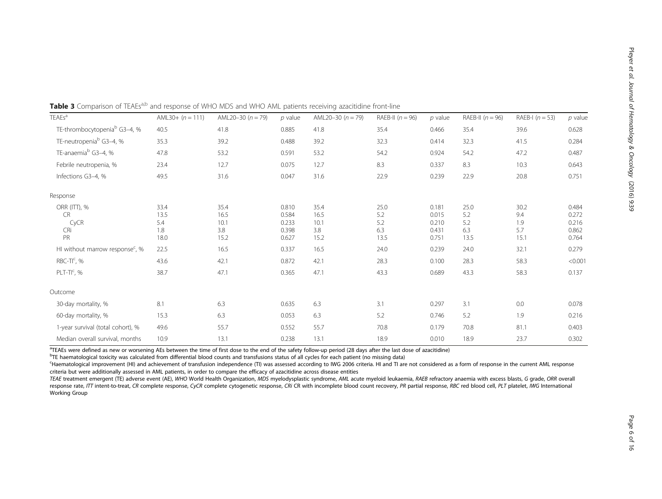<span id="page-5-0"></span>

|  | Table 3 Comparison of TEAEs <sup>a,b</sup> and response of WHO MDS and WHO AML patients receiving azacitidine front-line |
|--|--------------------------------------------------------------------------------------------------------------------------|
|--|--------------------------------------------------------------------------------------------------------------------------|

| TEAEs <sup>a</sup>                             | AML30+ $(n = 111)$                 | AML20-30 $(n = 79)$                 | $p$ value                                 | AML20-30 $(n = 79)$                 | RAEB-II $(n = 96)$                | $p$ value                                 | RAEB-II $(n = 96)$                | RAEB-I $(n = 53)$                 | $p$ value                                 |
|------------------------------------------------|------------------------------------|-------------------------------------|-------------------------------------------|-------------------------------------|-----------------------------------|-------------------------------------------|-----------------------------------|-----------------------------------|-------------------------------------------|
| TE-thrombocytopenia <sup>b</sup> G3-4, %       | 40.5                               | 41.8                                | 0.885                                     | 41.8                                | 35.4                              | 0.466                                     | 35.4                              | 39.6                              | 0.628                                     |
| TE-neutropenia <sup>b</sup> G3-4, %            | 35.3                               | 39.2                                | 0.488                                     | 39.2                                | 32.3                              | 0.414                                     | 32.3                              | 41.5                              | 0.284                                     |
| TE-anaemia <sup>b</sup> G3-4, %                | 47.8                               | 53.2                                | 0.591                                     | 53.2                                | 54.2                              | 0.924                                     | 54.2                              | 47.2                              | 0.487                                     |
| Febrile neutropenia, %                         | 23.4                               | 12.7                                | 0.075                                     | 12.7                                | 8.3                               | 0.337                                     | 8.3                               | 10.3                              | 0.643                                     |
| Infections G3-4, %                             | 49.5                               | 31.6                                | 0.047                                     | 31.6                                | 22.9                              | 0.239                                     | 22.9                              | 20.8                              | 0.751                                     |
| Response                                       |                                    |                                     |                                           |                                     |                                   |                                           |                                   |                                   |                                           |
| ORR (ITT), %<br><b>CR</b><br>CyCR<br>CRi<br>PR | 33.4<br>13.5<br>5.4<br>1.8<br>18.0 | 35.4<br>16.5<br>10.1<br>3.8<br>15.2 | 0.810<br>0.584<br>0.233<br>0.398<br>0.627 | 35.4<br>16.5<br>10.1<br>3.8<br>15.2 | 25.0<br>5.2<br>5.2<br>6.3<br>13.5 | 0.181<br>0.015<br>0.210<br>0.431<br>0.751 | 25.0<br>5.2<br>5.2<br>6.3<br>13.5 | 30.2<br>9.4<br>1.9<br>5.7<br>15.1 | 0.484<br>0.272<br>0.216<br>0.862<br>0.764 |
| HI without marrow response <sup>c</sup> , %    | 22.5                               | 16.5                                | 0.337                                     | 16.5                                | 24.0                              | 0.239                                     | 24.0                              | 32.1                              | 0.279                                     |
| $RBC-TIc$ , %                                  | 43.6                               | 42.1                                | 0.872                                     | 42.1                                | 28.3                              | 0.100                                     | 28.3                              | 58.3                              | < 0.001                                   |
| $PLT-TIc$ , %                                  | 38.7                               | 47.1                                | 0.365                                     | 47.1                                | 43.3                              | 0.689                                     | 43.3                              | 58.3                              | 0.137                                     |
| Outcome                                        |                                    |                                     |                                           |                                     |                                   |                                           |                                   |                                   |                                           |
| 30-day mortality, %                            | 8.1                                | 6.3                                 | 0.635                                     | 6.3                                 | 3.1                               | 0.297                                     | 3.1                               | 0.0                               | 0.078                                     |
| 60-day mortality, %                            | 15.3                               | 6.3                                 | 0.053                                     | 6.3                                 | 5.2                               | 0.746                                     | 5.2                               | 1.9                               | 0.216                                     |
| 1-year survival (total cohort), %              | 49.6                               | 55.7                                | 0.552                                     | 55.7                                | 70.8                              | 0.179                                     | 70.8                              | 81.1                              | 0.403                                     |
| Median overall survival, months                | 10.9                               | 13.1                                | 0.238                                     | 13.1                                | 18.9                              | 0.010                                     | 18.9                              | 23.7                              | 0.302                                     |

<sup>a</sup>TEAEs were defined as new or worsening AEs between the time of first dose to the end of the safety follow-up period (28 days after the last dose of azacitidine) between the time of all cases of a safety follow-up period

<sup>b</sup>TE haematological toxicity was calculated from differential blood counts and transfusions status of all cycles for each patient (no missing data)

c Haematological improvement (HI) and achievement of transfusion independence (TI) was assessed according to IWG 2006 criteria. HI and TI are not considered as a form of response in the current AML response criteria but were additionally assessed in AML patients, in order to compare the efficacy of azacitidine across disease entities

TEAE treatment emergent (TE) adverse event (AE), WHO World Health Organization, MDS myelodysplastic syndrome, AML acute myeloid leukaemia, RAEB refractory anaemia with excess blasts, G grade, ORR overall response rate, ITT intent-to-treat, CR complete response, CyCR complete cytogenetic response, CRi CR with incomplete blood count recovery, PR partial response, RBC red blood cell, PLT platelet, IWG International Working Group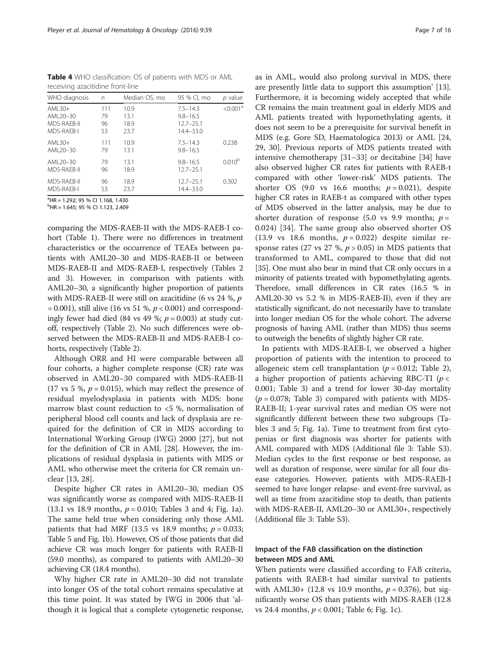<span id="page-6-0"></span>Table 4 WHO classification: OS of patients with MDS or AML receiving azacitidine front-line

| WHO diagnosis | n   | Median OS, mo | 95 % Cl, mo   | p value              |
|---------------|-----|---------------|---------------|----------------------|
| $AMI$ 30+     | 111 | 10.9          | $7.5 - 14.3$  | < 0.001 <sup>a</sup> |
| AMI 20-30     | 79  | 13.1          | $9.8 - 16.5$  |                      |
| MDS-RAFB-II   | 96  | 18.9          | $12.7 - 25.1$ |                      |
| MDS-RAFB-I    | 53  | 23.7          | $14.4 - 33.0$ |                      |
| AMI $30+$     | 111 | 10.9          | $7.5 - 14.3$  | 0.238                |
| AMI 20-30     | 79  | 13.1          | $9.8 - 16.5$  |                      |
| AMI 20-30     | 79  | 13.1          | $9.8 - 16.5$  | $0.010^{b}$          |
| MDS-RAFB-II   | 96  | 18.9          | $12.7 - 25.1$ |                      |
| MDS-RAFB-II   | 96  | 18.9          | $12.7 - 25.1$ | 0.302                |
| MDS-RAFB-I    | 53  | 23.7          | 14.4-33.0     |                      |

<sup>a</sup>HR = 1.292; 95 % CI 1.168, 1.430

<sup>b</sup>HR = 1.645; 95 % Cl 1.123, 2.409

comparing the MDS-RAEB-II with the MDS-RAEB-I cohort (Table [1\)](#page-3-0). There were no differences in treatment characteristics or the occurrence of TEAEs between patients with AML20–30 and MDS-RAEB-II or between MDS-RAEB-II and MDS-RAEB-I, respectively (Tables [2](#page-4-0) and [3\)](#page-5-0). However, in comparison with patients with AML20–30, a significantly higher proportion of patients with MDS-RAEB-II were still on azacitidine (6 vs 24 %, p  $= 0.001$ ), still alive (16 vs 51 %,  $p < 0.001$ ) and correspondingly fewer had died (84 vs 49 %;  $p = 0.003$ ) at study cutoff, respectively (Table [2](#page-4-0)). No such differences were observed between the MDS-RAEB-II and MDS-RAEB-I cohorts, respectively (Table [2](#page-4-0)).

Although ORR and HI were comparable between all four cohorts, a higher complete response (CR) rate was observed in AML20–30 compared with MDS-RAEB-II (17 vs 5 %,  $p = 0.015$ ), which may reflect the presence of residual myelodysplasia in patients with MDS: bone marrow blast count reduction to <5 %, normalisation of peripheral blood cell counts and lack of dysplasia are required for the definition of CR in MDS according to International Working Group (IWG) 2000 [[27\]](#page-13-0), but not for the definition of CR in AML [\[28](#page-13-0)]. However, the implications of residual dysplasia in patients with MDS or AML who otherwise meet the criteria for CR remain unclear [\[13](#page-13-0), [28\]](#page-13-0).

Despite higher CR rates in AML20–30, median OS was significantly worse as compared with MDS-RAEB-II  $(13.1 \text{ vs } 18.9 \text{ months}, p = 0.010; \text{ Tables } 3 \text{ and } 4; \text{ Fig. 1a}).$  $(13.1 \text{ vs } 18.9 \text{ months}, p = 0.010; \text{ Tables } 3 \text{ and } 4; \text{ Fig. 1a}).$  $(13.1 \text{ vs } 18.9 \text{ months}, p = 0.010; \text{ Tables } 3 \text{ and } 4; \text{ Fig. 1a}).$  $(13.1 \text{ vs } 18.9 \text{ months}, p = 0.010; \text{ Tables } 3 \text{ and } 4; \text{ Fig. 1a}).$  $(13.1 \text{ vs } 18.9 \text{ months}, p = 0.010; \text{ Tables } 3 \text{ and } 4; \text{ Fig. 1a}).$ The same held true when considering only those AML patients that had MRF (13.5 vs 18.9 months;  $p = 0.033$ ; Table [5](#page-8-0) and Fig. [1b](#page-7-0)). However, OS of those patients that did achieve CR was much longer for patients with RAEB-II (59.0 months), as compared to patients with AML20–30 achieving CR (18.4 months).

Why higher CR rate in AML20–30 did not translate into longer OS of the total cohort remains speculative at this time point. It was stated by IWG in 2006 that 'although it is logical that a complete cytogenetic response,

as in AML, would also prolong survival in MDS, there are presently little data to support this assumption' [\[13](#page-13-0)]. Furthermore, it is becoming widely accepted that while CR remains the main treatment goal in elderly MDS and AML patients treated with hypomethylating agents, it does not seem to be a prerequisite for survival benefit in MDS (e.g. Gore SD, Haematologica 2013) or AML [[24](#page-13-0), [29, 30\]](#page-13-0). Previous reports of MDS patients treated with intensive chemotherapy [[31](#page-13-0)–[33](#page-14-0)] or decitabine [\[34](#page-14-0)] have also observed higher CR rates for patients with RAEB-t compared with other 'lower-risk' MDS patients. The shorter OS  $(9.0 \text{ vs } 16.6 \text{ months}; p = 0.021)$ , despite higher CR rates in RAEB-t as compared with other types of MDS observed in the latter analysis, may be due to shorter duration of response (5.0 vs 9.9 months;  $p =$ 0.024) [\[34](#page-14-0)]. The same group also observed shorter OS (13.9 vs 18.6 months,  $p = 0.022$ ) despite similar response rates (27 vs 27 %,  $p > 0.05$ ) in MDS patients that transformed to AML, compared to those that did not [[35](#page-14-0)]. One must also bear in mind that CR only occurs in a minority of patients treated with hypomethylating agents. Therefore, small differences in CR rates (16.5 % in AML20-30 vs 5.2 % in MDS-RAEB-II), even if they are statistically significant, do not necessarily have to translate into longer median OS for the whole cohort. The adverse prognosis of having AML (rather than MDS) thus seems to outweigh the benefits of slightly higher CR rate.

In patients with MDS-RAEB-I, we observed a higher proportion of patients with the intention to proceed to allogeneic stem cell transplantation ( $p = 0.012$ ; Table [2](#page-4-0)), a higher proportion of patients achieving RBC-TI ( $p$  < 0.001; Table [3](#page-5-0)) and a trend for lower 30-day mortality  $(p = 0.078;$  Table [3\)](#page-5-0) compared with patients with MDS-RAEB-II; 1-year survival rates and median OS were not significantly different between these two subgroups (Tables [3](#page-5-0) and [5](#page-8-0); Fig. [1a\)](#page-7-0). Time to treatment from first cytopenias or first diagnosis was shorter for patients with AML compared with MDS (Additional file [3:](#page-12-0) Table S3). Median cycles to the first response or best response, as well as duration of response, were similar for all four disease categories. However, patients with MDS-RAEB-I seemed to have longer relapse- and event-free survival, as well as time from azacitidine stop to death, than patients with MDS-RAEB-II, AML20–30 or AML30+, respectively (Additional file [3:](#page-12-0) Table S3).

## Impact of the FAB classification on the distinction between MDS and AML

When patients were classified according to FAB criteria, patients with RAEB-t had similar survival to patients with AML30+ (12.8 vs 10.9 months,  $p = 0.376$ ), but significantly worse OS than patients with MDS-RAEB (12.8 vs 24.4 months,  $p < 0.001$ ; Table [6](#page-10-0); Fig. [1c](#page-7-0)).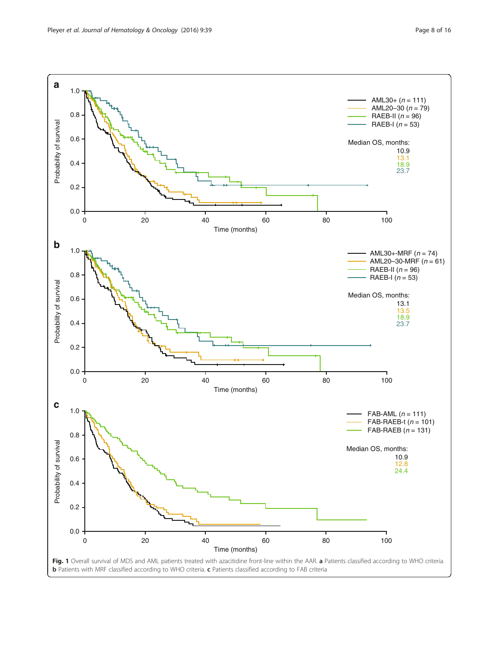<span id="page-7-0"></span>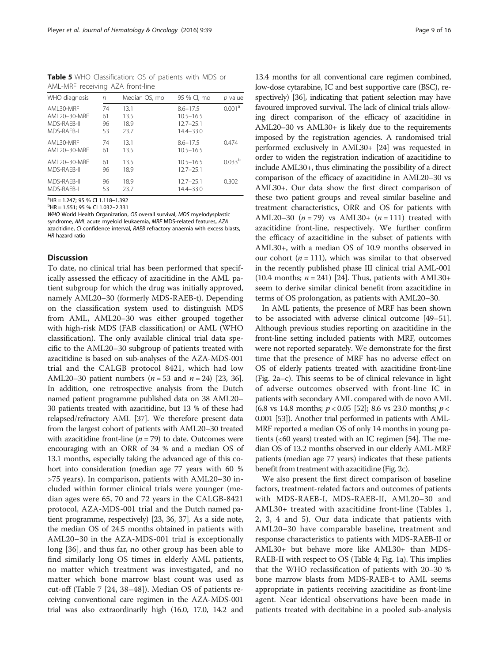<span id="page-8-0"></span>Table 5 WHO Classification: OS of patients with MDS or AML-MRF receiving AZA front-line

| WHO diagnosis | n  | Median OS, mo | 95 % Cl, mo   | p value            |
|---------------|----|---------------|---------------|--------------------|
| AML30-MRF     | 74 | 13.1          | $8.6 - 17.5$  | 0.001 <sup>a</sup> |
| AMI 20-30-MRF | 61 | 13.5          | $10.5 - 16.5$ |                    |
| MDS-RAFB-II   | 96 | 18.9          | $12.7 - 25.1$ |                    |
| MDS-RAFB-I    | 53 | 23.7          | $14.4 - 33.0$ |                    |
| AML30-MRF     | 74 | 13.1          | $8.6 - 17.5$  | 0.474              |
| AMI 20-30-MRF | 61 | 135           | $10.5 - 16.5$ |                    |
| AMI 20-30-MRF | 61 | 13.5          | $10.5 - 16.5$ | 0.033 <sup>b</sup> |
| MDS-RAFB-II   | 96 | 18.9          | $12.7 - 25.1$ |                    |
| MDS-RAFB-II   | 96 | 18.9          | $12.7 - 25.1$ | 0.302              |
| MDS-RAFB-I    | 53 | 23.7          | $14.4 - 33.0$ |                    |

a<br>PHR = 1.247; 95 % CI 1.118–1.392<br>PHP = 1.551: 05 % CL 1.022, 2.221

 $^{b}$ HR = 1.551; 95 % CI 1.032-2.331

WHO World Health Organization, OS overall survival, MDS myelodysplastic syndrome, AML acute myeloid leukaemia, MRF MDS-related features, AZA azacitidine, CI confidence interval, RAEB refractory anaemia with excess blasts, HR hazard ratio

#### **Discussion**

To date, no clinical trial has been performed that specifically assessed the efficacy of azacitidine in the AML patient subgroup for which the drug was initially approved, namely AML20–30 (formerly MDS-RAEB-t). Depending on the classification system used to distinguish MDS from AML, AML20–30 was either grouped together with high-risk MDS (FAB classification) or AML (WHO classification). The only available clinical trial data specific to the AML20–30 subgroup of patients treated with azacitidine is based on sub-analyses of the AZA-MDS-001 trial and the CALGB protocol 8421, which had low AML20–30 patient numbers ( $n = 53$  and  $n = 24$ ) [\[23,](#page-13-0) [36](#page-14-0)]. In addition, one retrospective analysis from the Dutch named patient programme published data on 38 AML20– 30 patients treated with azacitidine, but 13 % of these had relapsed/refractory AML [\[37\]](#page-14-0). We therefore present data from the largest cohort of patients with AML20–30 treated with azacitidine front-line ( $n = 79$ ) to date. Outcomes were encouraging with an ORR of 34 % and a median OS of 13.1 months, especially taking the advanced age of this cohort into consideration (median age 77 years with 60 % >75 years). In comparison, patients with AML20–30 included within former clinical trials were younger (median ages were 65, 70 and 72 years in the CALGB-8421 protocol, AZA-MDS-001 trial and the Dutch named patient programme, respectively) [[23](#page-13-0), [36, 37\]](#page-14-0). As a side note, the median OS of 24.5 months obtained in patients with AML20–30 in the AZA-MDS-001 trial is exceptionally long [\[36](#page-14-0)], and thus far, no other group has been able to find similarly long OS times in elderly AML patients, no matter which treatment was investigated, and no matter which bone marrow blast count was used as cut-off (Table [7](#page-10-0) [[24,](#page-13-0) [38](#page-14-0)–[48](#page-14-0)]). Median OS of patients receiving conventional care regimen in the AZA-MDS-001 trial was also extraordinarily high (16.0, 17.0, 14.2 and

13.4 months for all conventional care regimen combined, low-dose cytarabine, IC and best supportive care (BSC), respectively) [\[36](#page-14-0)], indicating that patient selection may have favoured improved survival. The lack of clinical trials allowing direct comparison of the efficacy of azacitidine in AML20–30 vs AML30+ is likely due to the requirements imposed by the registration agencies. A randomised trial performed exclusively in AML30+ [\[24\]](#page-13-0) was requested in order to widen the registration indication of azacitidine to include AML30+, thus eliminating the possibility of a direct comparison of the efficacy of azacitidine in AML20–30 vs AML30+. Our data show the first direct comparison of these two patient groups and reveal similar baseline and treatment characteristics, ORR and OS for patients with AML20–30 ( $n = 79$ ) vs AML30+ ( $n = 111$ ) treated with azacitidine front-line, respectively. We further confirm the efficacy of azacitidine in the subset of patients with AML30+, with a median OS of 10.9 months observed in our cohort ( $n = 111$ ), which was similar to that observed in the recently published phase III clinical trial AML-001 (10.4 months;  $n = 241$ ) [\[24\]](#page-13-0). Thus, patients with AML30+ seem to derive similar clinical benefit from azacitidine in terms of OS prolongation, as patients with AML20–30.

In AML patients, the presence of MRF has been shown to be associated with adverse clinical outcome [\[49](#page-14-0)–[51](#page-14-0)]. Although previous studies reporting on azacitidine in the front-line setting included patients with MRF, outcomes were not reported separately. We demonstrate for the first time that the presence of MRF has no adverse effect on OS of elderly patients treated with azacitidine front-line (Fig. [2a](#page-9-0)–[c\)](#page-9-0). This seems to be of clinical relevance in light of adverse outcomes observed with front-line IC in patients with secondary AML compared with de novo AML (6.8 vs 14.8 months;  $p < 0.05$  [\[52\]](#page-14-0); 8.6 vs 23.0 months;  $p <$ 0.001 [\[53\]](#page-14-0)). Another trial performed in patients with AML-MRF reported a median OS of only 14 months in young patients (<60 years) treated with an IC regimen [\[54\]](#page-14-0). The median OS of 13.2 months observed in our elderly AML-MRF patients (median age 77 years) indicates that these patients benefit from treatment with azacitidine (Fig. [2c\)](#page-9-0).

We also present the first direct comparison of baseline factors, treatment-related factors and outcomes of patients with MDS-RAEB-I, MDS-RAEB-II, AML20–30 and AML30+ treated with azacitidine front-line (Tables [1](#page-3-0), [2,](#page-4-0) [3](#page-5-0), [4](#page-6-0) and 5). Our data indicate that patients with AML20–30 have comparable baseline, treatment and response characteristics to patients with MDS-RAEB-II or AML30+ but behave more like AML30+ than MDS-RAEB-II with respect to OS (Table [4](#page-6-0); Fig. [1a\)](#page-7-0). This implies that the WHO reclassification of patients with 20–30 % bone marrow blasts from MDS-RAEB-t to AML seems appropriate in patients receiving azacitidine as front-line agent. Near identical observations have been made in patients treated with decitabine in a pooled sub-analysis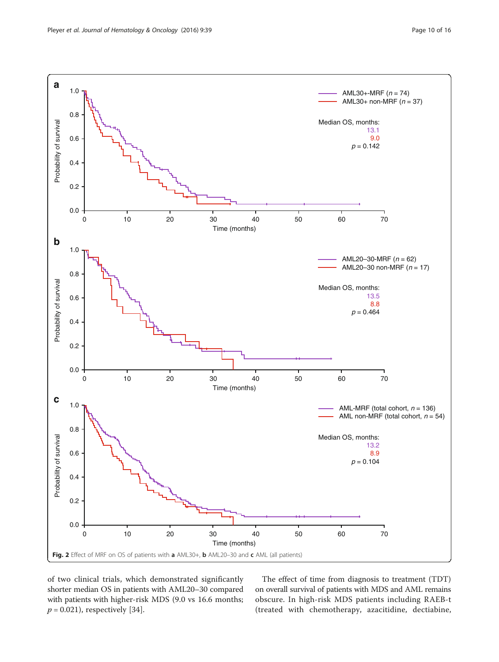<span id="page-9-0"></span>

of two clinical trials, which demonstrated significantly shorter median OS in patients with AML20–30 compared with patients with higher-risk MDS (9.0 vs 16.6 months;  $p = 0.021$ ), respectively [\[34](#page-14-0)].

The effect of time from diagnosis to treatment (TDT) on overall survival of patients with MDS and AML remains obscure. In high-risk MDS patients including RAEB-t (treated with chemotherapy, azacitidine, dectiabine,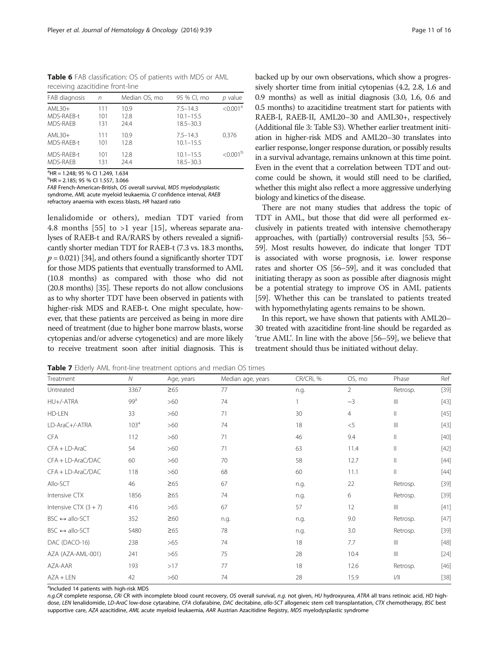<span id="page-10-0"></span>Table 6 FAB classification: OS of patients with MDS or AML receiving azacitidine front-line

| FAB diagnosis | n   | Median OS, mo | 95 % Cl, mo   | $p$ value            |
|---------------|-----|---------------|---------------|----------------------|
| $AML30+$      | 111 | 10.9          | $7.5 - 14.3$  | < 0.001 <sup>a</sup> |
| MDS-RAEB-t    | 101 | 12.8          | $10.1 - 15.5$ |                      |
| MDS-RAFB      | 131 | 24.4          | $18.5 - 30.3$ |                      |
| $AML30+$      | 111 | 10.9          | $7.5 - 14.3$  | 0.376                |
| MDS-RAFB-t    | 101 | 12.8          | $10.1 - 15.5$ |                      |
| MDS-RAEB-t    | 101 | 12.8          | $10.1 - 15.5$ | < 0.001 <sup>b</sup> |
| MDS-RAEB      | 131 | 24.4          | $18.5 - 30.3$ |                      |

<sup>a</sup>HR = 1.248; 95 % CI 1.249, 1.634

<sup>b</sup>HR = 2.185; 95 % CI 1.557, 3.066

FAB French-American-British, OS overall survival, MDS myelodysplastic syndrome, AML acute myeloid leukaemia, CI confidence interval, RAEB refractory anaemia with excess blasts, HR hazard ratio

lenalidomide or others), median TDT varied from 4.8 months  $[55]$  $[55]$  $[55]$  to >1 year  $[15]$ , whereas separate analyses of RAEB-t and RA/RARS by others revealed a significantly shorter median TDT for RAEB-t (7.3 vs. 18.3 months,  $p = 0.021$  [\[34\]](#page-14-0), and others found a significantly shorter TDT for those MDS patients that eventually transformed to AML (10.8 months) as compared with those who did not (20.8 months) [[35\]](#page-14-0). These reports do not allow conclusions as to why shorter TDT have been observed in patients with higher-risk MDS and RAEB-t. One might speculate, however, that these patients are perceived as being in more dire need of treatment (due to higher bone marrow blasts, worse cytopenias and/or adverse cytogenetics) and are more likely to receive treatment soon after initial diagnosis. This is backed up by our own observations, which show a progressively shorter time from initial cytopenias (4.2, 2.8, 1.6 and 0.9 months) as well as initial diagnosis (3.0, 1.6, 0.6 and 0.5 months) to azacitidine treatment start for patients with RAEB-I, RAEB-II, AML20–30 and AML30+, respectively (Additional file [3](#page-12-0): Table S3). Whether earlier treatment initiation in higher-risk MDS and AML20–30 translates into earlier response, longer response duration, or possibly results in a survival advantage, remains unknown at this time point. Even in the event that a correlation between TDT and outcome could be shown, it would still need to be clarified, whether this might also reflect a more aggressive underlying biology and kinetics of the disease.

There are not many studies that address the topic of TDT in AML, but those that did were all performed exclusively in patients treated with intensive chemotherapy approaches, with (partially) controversial results [\[53, 56](#page-14-0)– [59](#page-14-0)]. Most results however, do indicate that longer TDT is associated with worse prognosis, i.e. lower response rates and shorter OS [[56](#page-14-0)–[59](#page-14-0)], and it was concluded that initiating therapy as soon as possible after diagnosis might be a potential strategy to improve OS in AML patients [[59](#page-14-0)]. Whether this can be translated to patients treated with hypomethylating agents remains to be shown.

In this report, we have shown that patients with AML20– 30 treated with azacitidine front-line should be regarded as 'true AML'. In line with the above [\[56](#page-14-0)–[59](#page-14-0)], we believe that treatment should thus be initiated without delay.

Table 7 Elderly AML front-line treatment options and median OS times

| Treatment                             | N                | Age, years | Median age, years | CR/CRi, % | OS, mo         | Phase                                 | Ref    |
|---------------------------------------|------------------|------------|-------------------|-----------|----------------|---------------------------------------|--------|
| Untreated                             | 3367             | $\geq 65$  | 77                | n.g.      | $\overline{2}$ | Retrosp.                              | $[39]$ |
| HU+/-ATRA                             | 99 <sup>a</sup>  | $>60$      | 74                | 1         | $\sim$ 3       | $\begin{array}{c} \hline \end{array}$ | $[43]$ |
| HD-LEN                                | 33               | $>60$      | 71                | 30        | $\overline{4}$ | $\mathsf{I}$                          | $[45]$ |
| LD-AraC+/-ATRA                        | 103 <sup>a</sup> | >60        | 74                | 18        | $<$ 5          | $\left\  {}\right\ $                  | $[43]$ |
| <b>CFA</b>                            | 112              | $>60$      | 71                | 46        | 9.4            | $\mathbb{I}$                          | $[40]$ |
| $CFA + LD-AraC$                       | 54               | $>60$      | 71                | 63        | 11.4           | $\vert\vert$                          | $[42]$ |
| CFA + LD-AraC/DAC                     | 60               | >60        | 70                | 58        | 12.7           | $\begin{array}{c} \hline \end{array}$ | $[44]$ |
| CFA + LD-AraC/DAC                     | 118              | $>60$      | 68                | 60        | 11.1           | $\vert\vert$                          | $[44]$ |
| Allo-SCT                              | 46               | $\geq 65$  | 67                | n.g.      | 22             | Retrosp.                              | $[39]$ |
| Intensive CTX                         | 1856             | $\geq 65$  | 74                | n.g.      | 6              | Retrosp.                              | $[39]$ |
| Intensive $CTX$ $(3 + 7)$             | 416              | >65        | 67                | 57        | 12             | $\vert\vert\vert$                     | $[41]$ |
| $BSC \leftrightarrow \text{allo-SCT}$ | 352              | $\geq 60$  | n.g.              | n.g.      | 9.0            | Retrosp.                              | $[47]$ |
| $BSC \leftrightarrow \text{allo-SCT}$ | 5480             | $\geq 65$  | 78                | n.g.      | 3.0            | Retrosp.                              | $[39]$ |
| DAC (DACO-16)                         | 238              | >65        | 74                | 18        | 7.7            | $\  \ $                               | $[48]$ |
| AZA (AZA-AML-001)                     | 241              | >65        | 75                | 28        | 10.4           | $\  \ $                               | $[24]$ |
| AZA-AAR                               | 193              | >17        | 77                | 18        | 12.6           | Retrosp.                              | $[46]$ |
| $AZA + LEN$                           | 42               | $>60$      | 74                | 28        | 15.9           | 1/11                                  | $[38]$ |

<sup>a</sup>Included 14 patients with high-risk MDS

n.q.CR complete response, CRi CR with incomplete blood count recovery, OS overall survival, n.q. not given, HU hydroxyurea, ATRA all trans retinoic acid, HD highdose, LEN lenalidomide, LD-AraC low-dose cytarabine, CFA clofarabine, DAC decitabine, allo-SCT allogeneic stem cell transplantation, CTX chemotherapy, BSC best supportive care, AZA azacitidine, AML acute myeloid leukaemia, AAR Austrian Azacitidine Registry, MDS myelodysplastic syndrome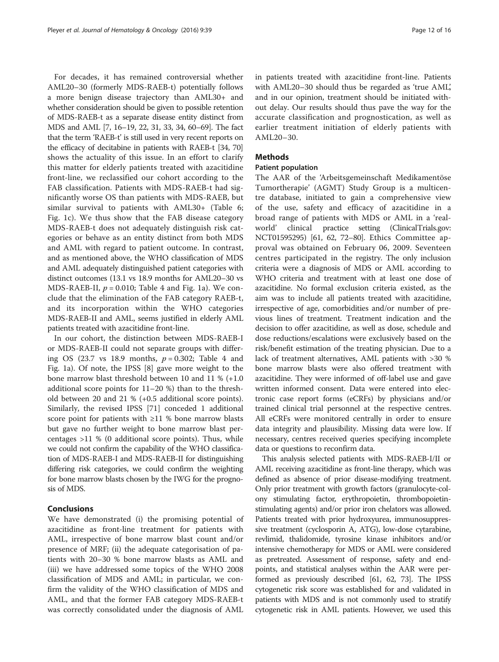For decades, it has remained controversial whether AML20–30 (formerly MDS-RAEB-t) potentially follows a more benign disease trajectory than AML30+ and whether consideration should be given to possible retention of MDS-RAEB-t as a separate disease entity distinct from MDS and AML [\[7, 16](#page-13-0)–[19, 22](#page-13-0), [31,](#page-13-0) [33, 34](#page-14-0), [60](#page-14-0)–[69](#page-14-0)]. The fact that the term 'RAEB-t' is still used in very recent reports on the efficacy of decitabine in patients with RAEB-t [\[34](#page-14-0), [70](#page-15-0)] shows the actuality of this issue. In an effort to clarify this matter for elderly patients treated with azacitidine front-line, we reclassified our cohort according to the FAB classification. Patients with MDS-RAEB-t had significantly worse OS than patients with MDS-RAEB, but similar survival to patients with AML30+ (Table [6](#page-10-0); Fig. [1c](#page-7-0)). We thus show that the FAB disease category MDS-RAEB-t does not adequately distinguish risk categories or behave as an entity distinct from both MDS and AML with regard to patient outcome. In contrast, and as mentioned above, the WHO classification of MDS and AML adequately distinguished patient categories with distinct outcomes (13.1 vs 18.9 months for AML20–30 vs MDS-RAEB-II,  $p = 0.010$ ; Table [4](#page-6-0) and Fig. [1a](#page-7-0)). We conclude that the elimination of the FAB category RAEB-t, and its incorporation within the WHO categories MDS-RAEB-II and AML, seems justified in elderly AML patients treated with azacitidine front-line.

In our cohort, the distinction between MDS-RAEB-I or MDS-RAEB-II could not separate groups with differing OS (23.7 vs 18.9 months,  $p = 0.302$ ; Table [4](#page-6-0) and Fig. [1a](#page-7-0)). Of note, the IPSS [\[8](#page-13-0)] gave more weight to the bone marrow blast threshold between 10 and 11 % (+1.0 additional score points for 11–20 %) than to the threshold between 20 and 21 % (+0.5 additional score points). Similarly, the revised IPSS [\[71](#page-15-0)] conceded 1 additional score point for patients with ≥11 % bone marrow blasts but gave no further weight to bone marrow blast percentages >11 % (0 additional score points). Thus, while we could not confirm the capability of the WHO classification of MDS-RAEB-I and MDS-RAEB-II for distinguishing differing risk categories, we could confirm the weighting for bone marrow blasts chosen by the IWG for the prognosis of MDS.

## Conclusions

We have demonstrated (i) the promising potential of azacitidine as front-line treatment for patients with AML, irrespective of bone marrow blast count and/or presence of MRF; (ii) the adequate categorisation of patients with 20–30 % bone marrow blasts as AML and (iii) we have addressed some topics of the WHO 2008 classification of MDS and AML; in particular, we confirm the validity of the WHO classification of MDS and AML, and that the former FAB category MDS-RAEB-t was correctly consolidated under the diagnosis of AML in patients treated with azacitidine front-line. Patients with AML20–30 should thus be regarded as 'true AML', and in our opinion, treatment should be initiated without delay. Our results should thus pave the way for the accurate classification and prognostication, as well as earlier treatment initiation of elderly patients with AML20–30.

## **Methods**

## Patient population

The AAR of the 'Arbeitsgemeinschaft Medikamentöse Tumortherapie' (AGMT) Study Group is a multicentre database, initiated to gain a comprehensive view of the use, safety and efficacy of azacitidine in a broad range of patients with MDS or AML in a 'realworld' clinical practice setting (ClinicalTrials.gov: NCT01595295) [[61](#page-14-0), [62,](#page-14-0) [72](#page-15-0)–[80](#page-15-0)]. Ethics Committee approval was obtained on February 06, 2009. Seventeen centres participated in the registry. The only inclusion criteria were a diagnosis of MDS or AML according to WHO criteria and treatment with at least one dose of azacitidine. No formal exclusion criteria existed, as the aim was to include all patients treated with azacitidine, irrespective of age, comorbidities and/or number of previous lines of treatment. Treatment indication and the decision to offer azacitidine, as well as dose, schedule and dose reductions/escalations were exclusively based on the risk/benefit estimation of the treating physician. Due to a lack of treatment alternatives, AML patients with >30 % bone marrow blasts were also offered treatment with azacitidine. They were informed of off-label use and gave written informed consent. Data were entered into electronic case report forms (eCRFs) by physicians and/or trained clinical trial personnel at the respective centres. All eCRFs were monitored centrally in order to ensure data integrity and plausibility. Missing data were low. If necessary, centres received queries specifying incomplete data or questions to reconfirm data.

This analysis selected patients with MDS-RAEB-I/II or AML receiving azacitidine as front-line therapy, which was defined as absence of prior disease-modifying treatment. Only prior treatment with growth factors (granulocyte-colony stimulating factor, erythropoietin, thrombopoietinstimulating agents) and/or prior iron chelators was allowed. Patients treated with prior hydroxyurea, immunosuppressive treatment (cyclosporin A, ATG), low-dose cytarabine, revlimid, thalidomide, tyrosine kinase inhibitors and/or intensive chemotherapy for MDS or AML were considered as pretreated. Assessment of response, safety and endpoints, and statistical analyses within the AAR were performed as previously described [\[61, 62,](#page-14-0) [73](#page-15-0)]. The IPSS cytogenetic risk score was established for and validated in patients with MDS and is not commonly used to stratify cytogenetic risk in AML patients. However, we used this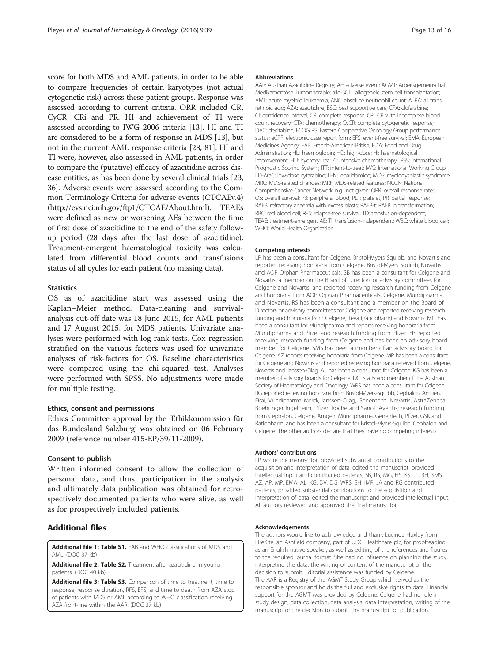<span id="page-12-0"></span>score for both MDS and AML patients, in order to be able to compare frequencies of certain karyotypes (not actual cytogenetic risk) across these patient groups. Response was assessed according to current criteria. ORR included CR, CyCR, CRi and PR. HI and achievement of TI were assessed according to IWG 2006 criteria [[13](#page-13-0)]. HI and TI are considered to be a form of response in MDS [\[13\]](#page-13-0), but not in the current AML response criteria [\[28,](#page-13-0) [81\]](#page-15-0). HI and TI were, however, also assessed in AML patients, in order to compare the (putative) efficacy of azacitidine across disease entities, as has been done by several clinical trials [[23](#page-13-0), [36](#page-14-0)]. Adverse events were assessed according to the Common Terminology Criteria for adverse events (CTCAEv.4) (<http://evs.nci.nih.gov/ftp1/CTCAE/About.html>). TEAEs were defined as new or worsening AEs between the time of first dose of azacitidine to the end of the safety followup period (28 days after the last dose of azacitidine). Treatment-emergent haematological toxicity was calculated from differential blood counts and transfusions status of all cycles for each patient (no missing data).

## **Statistics**

OS as of azacitidine start was assessed using the Kaplan–Meier method. Data-cleaning and survivalanalysis cut-off date was 18 June 2015, for AML patients and 17 August 2015, for MDS patients. Univariate analyses were performed with log-rank tests. Cox-regression stratified on the various factors was used for univariate analyses of risk-factors for OS. Baseline characteristics were compared using the chi-squared test. Analyses were performed with SPSS. No adjustments were made for multiple testing.

#### Ethics, consent and permissions

Ethics Committee approval by the 'Ethikkommission für das Bundesland Salzburg' was obtained on 06 February 2009 (reference number 415-EP/39/11-2009).

#### Consent to publish

Written informed consent to allow the collection of personal data, and thus, participation in the analysis and ultimately data publication was obtained for retrospectively documented patients who were alive, as well as for prospectively included patients.

## Additional files

[Additional file 1: Table S1.](dx.doi.org/10.1186/s13045-016-0263-4) FAB and WHO classifications of MDS and AML. (DOC 37 kb)

[Additional file 2: Table S2.](dx.doi.org/10.1186/s13045-016-0263-4) Treatment after azacitidine in young patients. (DOC 40 kb)

[Additional file 3: Table S3.](dx.doi.org/10.1186/s13045-016-0263-4) Comparison of time to treatment, time to response, response duration, RFS, EFS, and time to death from AZA stop of patients with MDS or AML according to WHO classification receiving AZA front-line within the AAR. (DOC 37 kb)

#### Abbreviations

AAR: Austrian Azacitidine Registry; AE: adverse event; AGMT: Arbeitsgemeinschaft Medikamentöse Tumortherapie; allo-SCT: allogeneic stem cell transplantation; AML: acute myeloid leukaemia; ANC: absolute neutrophil count; ATRA: all trans retinoic acid; AZA: azacitidine; BSC: best supportive care; CFA: clofarabine; CI: confidence interval; CR: complete response; CRi: CR with incomplete blood count recovery; CTX: chemotherapy; CyCR: complete cytogenetic response; DAC: decitabine; ECOG PS: Eastern Cooperative Oncology Group performance status; eCRF: electronic case report form; EFS: event-free survival; EMA: European Medicines Agency; FAB: French-American-British; FDA: Food and Drug Administration; Hb: haemoglobin; HD: high-dose; HI: haematological improvement; HU: hydroxyurea; IC: intensive chemotherapy; IPSS: International Prognostic Scoring System; ITT: intent-to-treat; IWG: International Working Group; LD-AraC: low-dose cytarabine; LEN: lenalidomide; MDS: myelodysplastic syndrome; MRC: MDS-related changes; MRF: MDS-related features; NCCN: National Comprehensive Cancer Network; n.g.: not given; ORR: overall response rate; OS: overall survival; PB: peripheral blood; PLT: platelet; PR: partial response; RAEB: refractory anaemia with excess blasts; RAEB-t: RAEB in transformation; RBC: red blood cell; RFS: relapse-free survival; TD: transfusion-dependent; TEAE: treatment-emergent AE; TI: transfusion-independent; WBC: white blood cell; WHO: World Health Organization.

#### Competing interests

LP has been a consultant for Celgene, Bristol-Myers Squibb, and Novartis and reported receiving honoraria from Celgene, Bristol-Myers Squibb, Novartis and AOP Orphan Pharmaceuticals. SB has been a consultant for Celgene and Novartis, a member on the Board of Directors or advisory committees for Celgene and Novartis, and reported receiving research funding from Celgene and honoraria from AOP Orphan Pharmaceuticals, Celgene, Mundipharma and Novartis. RS has been a consultant and a member on the Board of Directors or advisory committees for Celgene and reported receiving research funding and honoraria from Celgene, Teva (Ratiopharm) and Novartis. MG has been a consultant for Mundipharma and reports receiving honoraria from Mundipharma and Pfizer and research funding from Pfizer. HS reported receiving research funding from Celgene and has been an advisory board member for Celgene. SMS has been a member of an advisory board for Celgene. AZ reports receiving honoraria from Celgene. MP has been a consultant for Celgene and Novartis and reported receiving honoraria received from Celgene, Novartis and Janssen-Cilag. AL has been a consultant for Celgene. KG has been a member of advisory boards for Celgene. DG is a Board member of the Austrian Society of Haematology and Oncology. WRS has been a consultant for Celgene. RG reported receiving honoraria from Bristol-Myers-Squibb, Cephalon, Amgen, Eisai, Mundipharma, Merck, Janssen-Cilag, Genentech, Novartis, AstraZeneca, Boehringer Ingelheim, Pfizer, Roche and Sanofi Aventis; research funding from Cephalon, Celgene, Amgen, Mundipharma, Genentech, Pfizer, GSK and Ratiopharm; and has been a consultant for Bristol-Myers-Squibb, Cephalon and Celgene. The other authors declare that they have no competing interests.

#### Authors' contributions

LP wrote the manuscript, provided substantial contributions to the acquisition and interpretation of data, edited the manuscript, provided intellectual input and contributed patients; SB, RS, MG, HS, KS, JT, BH, SMS, AZ, AP, MP, EMA, AL, KG, DV, DG, WRS, SH, IMR, JA and RG contributed patients, provided substantial contributions to the acquisition and interpretation of data, edited the manuscript and provided intellectual input. All authors reviewed and approved the final manuscript.

#### Acknowledgements

The authors would like to acknowledge and thank Lucinda Huxley from FireKite, an Ashfield company, part of UDG Healthcare plc, for proofreading as an English native speaker, as well as editing of the references and figures to the required journal format. She had no influence on planning the study, interpreting the data, the writing or content of the manuscript or the decision to submit. Editorial assistance was funded by Celgene. The AAR is a Registry of the AGMT Study Group which served as the responsible sponsor and holds the full and exclusive rights to data. Financial support for the AGMT was provided by Celgene. Celgene had no role in study design, data collection, data analysis, data interpretation, writing of the manuscript or the decision to submit the manuscript for publication.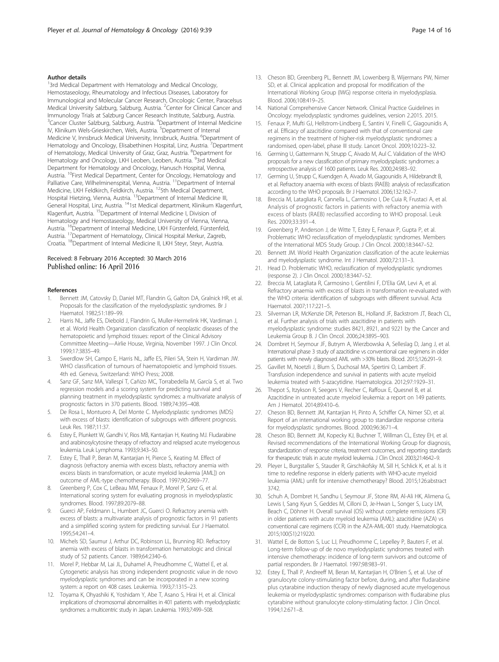#### <span id="page-13-0"></span>Author details

<sup>1</sup>3rd Medical Department with Hematology and Medical Oncology, Hemostaseology, Rheumatology and Infectious Diseases, Laboratory for Immunological and Molecular Cancer Research, Oncologic Center, Paracelsus Medical University Salzburg, Salzburg, Austria. <sup>2</sup>Center for Clinical Cancer and Immunology Trials at Salzburg Cancer Research Institute, Salzburg, Austria. <sup>3</sup>Cancer Cluster Salzburg, Salzburg, Austria. <sup>4</sup>Department of Internal Medicine IV, Klinikum Wels-Grieskirchen, Wels, Austria. <sup>5</sup>Department of Internal Medicine V, Innsbruck Medical University, Innsbruck, Austria. <sup>6</sup>Department of Hematology and Oncology, Elisabethinen Hospital, Linz, Austria. <sup>7</sup>Department of Hematology, Medical University of Graz, Graz, Austria. <sup>8</sup>Department for Hematology and Oncology, LKH Leoben, Leoben, Austria. <sup>9</sup>3rd Medical Department for Hematology and Oncology, Hanusch Hospital, Vienna, Austria. <sup>10</sup>First Medical Department, Center for Oncology, Hematology and Palliative Care, Wilhelminenspital, Vienna, Austria. <sup>11</sup>Department of Internal Medicine, LKH Feldkirch, Feldkirch, Austria. <sup>12</sup>5th Medical Department, Hospital Hietzing, Vienna, Austria. <sup>13</sup>Department of Internal Medicine III, General Hospital, Linz, Austria. 141st Medical department, Klinikum Klagenfurt, Klagenfurt, Austria. 15Department of Internal Medicine I, Division of Hematology and Hemostaseology, Medical University of Vienna, Vienna, Austria. <sup>16</sup>Department of Internal Medicine, LKH Fürstenfeld, Fürstenfeld, Austria. 17Department of Hematology, Clinical Hospital Merkur, Zagreb, Croatia. 18Department of Internal Medicine II, LKH Steyr, Steyr, Austria.

#### Received: 8 February 2016 Accepted: 30 March 2016 Published online: 16 April 2016

#### References

- Bennett JM, Catovsky D, Daniel MT, Flandrin G, Galton DA, Gralnick HR, et al. Proposals for the classification of the myelodysplastic syndromes. Br J Haematol. 1982;51:189–99.
- 2. Harris NL, Jaffe ES, Diebold J, Flandrin G, Muller-Hermelink HK, Vardiman J, et al. World Health Organization classification of neoplastic diseases of the hematopoietic and lymphoid tissues: report of the Clinical Advisory Committee Meeting—Airlie House, Virginia, November 1997. J Clin Oncol. 1999;17:3835–49.
- 3. Swerdlow SH, Campo E, Harris NL, Jaffe ES, Pileri SA, Stein H, Vardiman JW. WHO classification of tumours of haematopoietic and lymphoid tissues. 4th ed. Geneva, Switzerland: WHO Press; 2008.
- 4. Sanz GF, Sanz MA, Vallespí T, Cañizo MC, Torrabedella M, García S, et al. Two regression models and a scoring system for predicting survival and planning treatment in myelodysplastic syndromes: a multivariate analysis of prognostic factors in 370 patients. Blood. 1989;74:395–408.
- 5. De Rosa L, Montuoro A, Del Monte C. Myelodysplastic syndromes (MDS) with excess of blasts: identification of subgroups with different prognosis. Leuk Res. 1987;11:37.
- 6. Estey E, Plunkett W, Gandhi V, Rios MB, Kantarjian H, Keating MJ. Fludarabine and arabinosylcytosine therapy of refractory and relapsed acute myelogenous leukemia. Leuk Lymphoma. 1993;9:343–50.
- 7. Estey E, Thall P, Beran M, Kantarjian H, Pierce S, Keating M. Effect of diagnosis (refractory anemia with excess blasts, refractory anemia with excess blasts in transformation, or acute myeloid leukemia [AML]) on outcome of AML-type chemotherapy. Blood. 1997;90:2969–77.
- 8. Greenberg P, Cox C, LeBeau MM, Fenaux P, Morel P, Sanz G, et al. International scoring system for evaluating prognosis in myelodysplastic syndromes. Blood. 1997;89:2079–88.
- Guerci AP, Feldmann L, Humbert JC, Guerci O. Refractory anemia with excess of blasts: a multivariate analysis of prognostic factors in 91 patients and a simplified scoring system for predicting survival. Eur J Haematol. 1995;54:241–4.
- 10. Michels SD, Saumur J, Arthur DC, Robinson LL, Brunning RD. Refractory anemia with excess of blasts in transformation hematologic and clinical study of 52 patients. Cancer. 1989;64:2340–6.
- 11. Morel P, Hebbar M, Lai JL, Duhamel A, Preudhomme C, Wattel E, et al. Cytogenetic analysis has strong independent prognostic value in de novo myelodysplastic syndromes and can be incorporated in a new scoring system: a report on 408 cases. Leukemia. 1993;7:1315–23.
- 12. Toyama K, Ohyashiki K, Yoshidam Y, Abe T, Asano S, Hirai H, et al. Clinical implications of chromosomal abnormalities in 401 patients with myelodysplastic syndromes: a multicentric study in Japan. Leukemia. 1993;7:499–508.
- 13. Cheson BD, Greenberg PL, Bennett JM, Lowenberg B, Wijermans PW, Nimer SD, et al. Clinical application and proposal for modification of the International Working Group (IWG) response criteria in myelodysplasia. Blood. 2006;108:419–25.
- 14. National Comprehensive Cancer Network. Clinical Practice Guidelines in Oncology: myelodysplastic syndromes guidelines, version 2.2015. 2015.
- 15. Fenaux P, Mufti GJ, Hellstrom-Lindberg E, Santini V, Finelli C, Giagounidis A, et al. Efficacy of azacitidine compared with that of conventional care regimens in the treatment of higher-risk myelodysplastic syndromes: a randomised, open-label, phase III study. Lancet Oncol. 2009;10:223–32.
- 16. Germing U, Gattermann N, Strupp C, Aivado M, Aul C. Validation of the WHO proposals for a new classification of primary myelodysplastic syndromes: a retrospective analysis of 1600 patients. Leuk Res. 2000;24:983–92.
- 17. Germing U, Strupp C, Kuendgen A, Aivado M, Giagounidis A, Hildebrandt B, et al. Refractory anaemia with excess of blasts (RAEB): analysis of reclassification according to the WHO proposals. Br J Haematol. 2006;132:162–7.
- 18. Breccia M, Latagliata R, Cannella L, Carmosino I, De Cuia R, Frustaci A, et al. Analysis of prognostic factors in patients with refractory anemia with excess of blasts (RAEB) reclassified according to WHO proposal. Leuk Res. 2009;33:391–4.
- 19. Greenberg P, Anderson J, de Witte T, Estey E, Fenaux P, Gupta P, et al. Problematic WHO reclassification of myelodysplastic syndromes. Members of the International MDS Study Group. J Clin Oncol. 2000;18:3447–52.
- 20. Bennett JM. World Health Organization classification of the acute leukemias and myelodysplastic syndrome. Int J Hematol. 2000;72:131–3.
- 21. Head D. Problematic WHO, reclassification of myelodysplastic syndromes (response 2). J Clin Oncol. 2000;18:3447–52.
- 22. Breccia M, Latagliata R, Carmosino I, Gentilini F, D'Elia GM, Levi A, et al. Refractory anaemia with excess of blasts in transformation re-evaluated with the WHO criteria: identification of subgroups with different survival. Acta Haematol. 2007;117:221–5.
- 23. Silverman LR, McKenzie DR, Peterson BL, Holland JF, Backstrom JT, Beach CL, et al. Further analysis of trials with azacitidine in patients with myelodysplastic syndrome: studies 8421, 8921, and 9221 by the Cancer and Leukemia Group B. J Clin Oncol. 2006;24:3895–903.
- 24. Dombret H, Seymour JF, Butrym A, Wierzbowska A, Selleslag D, Jang J, et al. International phase 3 study of azacitidine vs conventional care regimens in older patients with newly diagnosed AML with >30% blasts. Blood. 2015;126:291–9.
- 25. Gavillet M, Noetzli J, Blum S, Duchosal MA, Spertini O, Lambert JF. Transfusion independence and survival in patients with acute myeloid leukemia treated with 5-azacytidine. Haematologica. 2012;97:1929–31.
- 26. Thepot S, Itzykson R, Seegers V, Recher C, Raffoux E, Quesnel B, et al. Azacitidine in untreated acute myeloid leukemia: a report on 149 patients. Am J Hematol. 2014;89:410–6.
- 27. Cheson BD, Bennett JM, Kantarjian H, Pinto A, Schiffer CA, Nimer SD, et al. Report of an international working group to standardize response criteria for myelodysplastic syndromes. Blood. 2000;96:3671–4.
- 28. Cheson BD, Bennett JM, Kopecky KJ, Buchner T, Willman CL, Estey EH, et al. Revised recommendations of the International Working Group for diagnosis, standardization of response criteria, treatment outcomes, and reporting standards for therapeutic trials in acute myeloid leukemia. J Clin Oncol. 2003;21:4642–9.
- 29. Pleyer L, Burgstaller S, Stauder R, Girschikofsky M, Sill H, Schlick K, et al. Is it time to redefine response in elderly patients with WHO-acute myeloid leukemia (AML) unfit for intensive chemotherapy? Blood. 2015;126:abstract 3742.
- 30. Schuh A, Dombret H, Sandhu I, Seymour JF, Stone RM, Al-Ali HK, Alimena G, Lewis I, Sang Kyun S, Geddes M, Cilloni D, Je-Hwan L, Songer S, Lucy LM, Beach C, Döhner H. Overall survival (OS) without complete remissions (CR) in older patients with acute myeloid leukemia (AML): azacitidine (AZA) vs conventional care regimens (CCR) in the AZA-AML-001 study. Haematologica. 2015;100(S1):219220.
- 31. Wattel E, de Botton S, Luc LJ, Preudhomme C, Lepelley P, Bauters F, et al. Long-term follow-up of de novo myelodysplastic syndromes treated with intensive chemotherapy: incidence of long-term survivors and outcome of partial responders. Br J Haematol. 1997;98:983–91.
- 32. Estey E, Thall P, Andreeff M, Beran M, Kantarjian H, O'Brien S, et al. Use of granulocyte colony-stimulating factor before, during, and after fludarabine plus cytarabine induction therapy of newly diagnosed acute myelogenous leukemia or myelodysplastic syndromes: comparison with fludarabine plus cytarabine without granulocyte colony-stimulating factor. J Clin Oncol. 1994;12:671–8.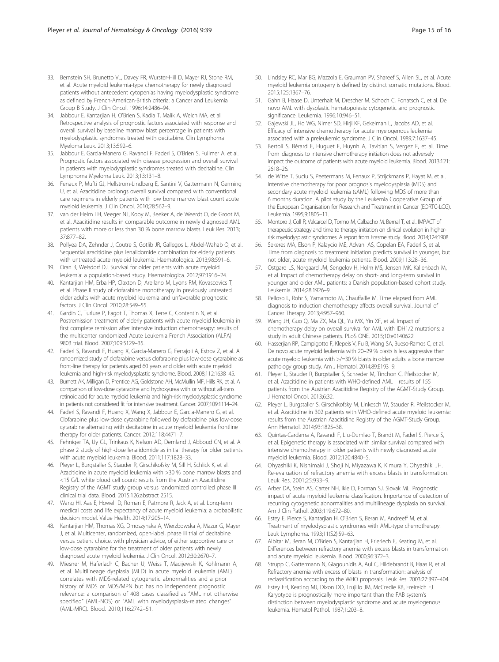- <span id="page-14-0"></span>33. Bernstein SH, Brunetto VL, Davey FR, Wurster-Hill D, Mayer RJ, Stone RM, et al. Acute myeloid leukemia-type chemotherapy for newly diagnosed patients without antecedent cytopenias having myelodysplastic syndrome as defined by French-American-British criteria: a Cancer and Leukemia Group B Study. J Clin Oncol. 1996;14:2486–94.
- 34. Jabbour E, Kantarjian H, O'Brien S, Kadia T, Malik A, Welch MA, et al. Retrospective analysis of prognostic factors associated with response and overall survival by baseline marrow blast percentage in patients with myelodysplastic syndromes treated with decitabine. Clin Lymphoma Myeloma Leuk. 2013;13:592–6.
- 35. Jabbour E, Garcia-Manero G, Ravandi F, Faderl S, O'Brien S, Fullmer A, et al. Prognostic factors associated with disease progression and overall survival in patients with myelodysplastic syndromes treated with decitabine. Clin Lymphoma Myeloma Leuk. 2013;13:131–8.
- 36. Fenaux P, Mufti GJ, Hellstrom-Lindberg E, Santini V, Gattermann N, Germing U, et al. Azacitidine prolongs overall survival compared with conventional care regimens in elderly patients with low bone marrow blast count acute myeloid leukemia. J Clin Oncol. 2010;28:562–9.
- 37. van der Helm LH, Veeger NJ, Kooy M, Beeker A, de Weerdt O, de Groot M, et al. Azacitidine results in comparable outcome in newly diagnosed AML patients with more or less than 30 % bone marrow blasts. Leuk Res. 2013; 37:877–82.
- 38. Pollyea DA, Zehnder J, Coutre S, Gotlib JR, Gallegos L, Abdel-Wahab O, et al. Sequential azacitidine plus lenalidomide combination for elderly patients with untreated acute myeloid leukemia. Haematologica. 2013;98:591–6.
- 39. Oran B, Weisdorf DJ. Survival for older patients with acute myeloid leukemia: a population-based study. Haematologica. 2012;97:1916–24.
- 40. Kantarjian HM, Erba HP, Claxton D, Arellano M, Lyons RM, Kovascovics T, et al. Phase II study of clofarabine monotherapy in previously untreated older adults with acute myeloid leukemia and unfavorable prognostic factors. J Clin Oncol. 2010;28:549–55.
- 41. Gardin C, Turlure P, Fagot T, Thomas X, Terre C, Contentin N, et al. Postremission treatment of elderly patients with acute myeloid leukemia in first complete remission after intensive induction chemotherapy: results of the multicenter randomized Acute Leukemia French Association (ALFA) 9803 trial. Blood. 2007;109:5129–35.
- 42. Faderl S, Ravandi F, Huang X, Garcia-Manero G, Ferrajoli A, Estrov Z, et al. A randomized study of clofarabine versus clofarabine plus low-dose cytarabine as front-line therapy for patients aged 60 years and older with acute myeloid leukemia and high-risk myelodysplastic syndrome. Blood. 2008;112:1638–45.
- 43. Burnett AK, Milligan D, Prentice AG, Goldstone AH, McMullin MF, Hills RK, et al. A comparison of low-dose cytarabine and hydroxyurea with or without all-trans retinoic acid for acute myeloid leukemia and high-risk myelodysplastic syndrome in patients not considered fit for intensive treatment. Cancer. 2007;109:1114–24.
- 44. Faderl S, Ravandi F, Huang X, Wang X, Jabbour E, Garcia-Manero G, et al. Clofarabine plus low-dose cytarabine followed by clofarabine plus low-dose cytarabine alternating with decitabine in acute myeloid leukemia frontline therapy for older patients. Cancer. 2012;118:4471–7.
- 45. Fehniger TA, Uy GL, Trinkaus K, Nelson AD, Demland J, Abboud CN, et al. A phase 2 study of high-dose lenalidomide as initial therapy for older patients with acute myeloid leukemia. Blood. 2011;117:1828–33.
- 46. Pleyer L, Burgstaller S, Stauder R, Girschikofsky M, Sill H, Schlick K, et al. Azacitidine in acute myeloid leukemia with >30 % bone marrow blasts and <15 G/L white blood cell count: results from the Austrian Azacitidine Registry of the AGMT study group versus randomized controlled phase III clinical trial data. Blood. 2015;126:abstract 2515.
- 47. Wang HI, Aas E, Howell D, Roman E, Patmore R, Jack A, et al. Long-term medical costs and life expectancy of acute myeloid leukemia: a probabilistic decision model. Value Health. 2014;17:205–14.
- 48. Kantarjian HM, Thomas XG, Dmoszynska A, Wierzbowska A, Mazur G, Mayer J, et al. Multicenter, randomized, open-label, phase III trial of decitabine versus patient choice, with physician advice, of either supportive care or low-dose cytarabine for the treatment of older patients with newly diagnosed acute myeloid leukemia. J Clin Oncol. 2012;30:2670–7.
- 49. Miesner M, Haferlach C, Bacher U, Weiss T, Macijewski K, Kohlmann A, et al. Multilineage dysplasia (MLD) in acute myeloid leukemia (AML) correlates with MDS-related cytogenetic abnormalities and a prior history of MDS or MDS/MPN but has no independent prognostic relevance: a comparison of 408 cases classified as "AML not otherwise specified" (AML-NOS) or "AML with myelodysplasia-related changes" (AML-MRC). Blood. 2010;116:2742–51.
- 50. Lindsley RC, Mar BG, Mazzola E, Grauman PV, Shareef S, Allen SL, et al. Acute myeloid leukemia ontogeny is defined by distinct somatic mutations. Blood. 2015;125:1367–76.
- 51. Gahn B, Haase D, Unterhalt M, Drescher M, Schoch C, Fonatsch C, et al. De novo AML with dysplastic hematopoiesis: cytogenetic and prognostic significance. Leukemia. 1996;10:946–51.
- 52. Gajewski JL, Ho WG, Nimer SD, Hirji KF, Gekelman L, Jacobs AD, et al. Efficacy of intensive chemotherapy for acute myelogenous leukemia associated with a preleukemic syndrome. J Clin Oncol. 1989;7:1637–45.
- 53. Bertoli S, Bérard E, Huguet F, Huynh A, Tavitian S, Vergez F, et al. Time from diagnosis to intensive chemotherapy initiation does not adversely impact the outcome of patients with acute myeloid leukemia. Blood. 2013;121: 2618–26.
- 54. de Witte T, Suciu S, Peetermans M, Fenaux P, Strijckmans P, Hayat M, et al. Intensive chemotherapy for poor prognosis myelodysplasia (MDS) and secondary acute myeloid leukemia (sAML) following MDS of more than 6 months duration. A pilot study by the Leukemia Cooperative Group of the European Organisation for Research and Treatment in Cancer (EORTC-LCG). Leukemia. 1995;9:1805–11.
- 55. Montoro J, Coll R, Valcarcel D, Tormo M, Calbacho M, Bernal T, et al. IMPACT of therapeutic strategy and time to therapy initiation on clinical evolution in higherrisk myelodysplastic syndromes. A report from Erasme study. Blood. 2014;124:1908.
- 56. Sekeres MA, Elson P, Kalaycio ME, Advani AS, Copelan EA, Faderl S, et al. Time from diagnosis to treatment initiation predicts survival in younger, but not older, acute myeloid leukemia patients. Blood. 2009;113:28–36.
- 57. Ostgard LS, Norgaard JM, Sengelov H, Holm MS, Jensen MK, Kallenbach M, et al. Impact of chemotherapy delay on short- and long-term survival in younger and older AML patients: a Danish population-based cohort study. Leukemia. 2014;28:1926–9.
- 58. Pelloso L, Rohr S, Yamamoto M, Chauffaille M. Time elapsed from AML diagnosis to induction chemotherapy affects overall survival. Journal of Cancer Therapy. 2013;4:957–960.
- 59. Wang JH, Guo Q, Ma ZX, Ma QL, Yu MX, Yin XF, et al. Impact of chemotherapy delay on overall survival for AML with IDH1/2 mutations: a study in adult Chinese patients. PLoS ONE. 2015;10:e0140622.
- 60. Hasserjian RP, Campigotto F, Klepeis V, Fu B, Wang SA, Bueso-Ramos C, et al. De novo acute myeloid leukemia with 20–29 % blasts is less aggressive than acute myeloid leukemia with >/=30 % blasts in older adults: a bone marrow pathology group study. Am J Hematol. 2014;89:E193–9.
- 61. Pleyer L, Stauder R, Burgstaller S, Schreder M, Tinchon C, Pfeilstocker M, et al. Azacitidine in patients with WHO-defined AML—results of 155 patients from the Austrian Azacitidine Registry of the AGMT-Study Group. J Hematol Oncol. 2013;6:32.
- 62. Pleyer L, Burgstaller S, Girschikofsky M, Linkesch W, Stauder R, Pfeilstocker M, et al. Azacitidine in 302 patients with WHO-defined acute myeloid leukemia: results from the Austrian Azacitidine Registry of the AGMT-Study Group. Ann Hematol. 2014;93:1825–38.
- 63. Quintas-Cardama A, Ravandi F, Liu-Dumlao T, Brandt M, Faderl S, Pierce S, et al. Epigenetic therapy is associated with similar survival compared with intensive chemotherapy in older patients with newly diagnosed acute myeloid leukemia. Blood. 2012;120:4840–5.
- 64. Ohyashiki K, Nishimaki J, Shoji N, Miyazawa K, Kimura Y, Ohyashiki JH. Re-evaluation of refractory anemia with excess blasts in transformation. Leuk Res. 2001;25:933–9.
- 65. Arber DA, Stein AS, Carter NH, Ikle D, Forman SJ, Slovak ML. Prognostic impact of acute myeloid leukemia classification. Importance of detection of recurring cytogenetic abnormalities and multilineage dysplasia on survival. Am J Clin Pathol. 2003;119:672–80.
- 66. Estey E, Pierce S, Kantarjian H, O'Brien S, Beran M, Andreeff M, et al. Treatment of myelodysplastic syndromes with AML-type chemotherapy. Leuk Lymphoma. 1993;11(S2):59–63.
- 67. Albitar M, Beran M, O'Brien S, Kantarjian H, Frieriech E, Keating M, et al. Differences between refractory anemia with excess blasts in transformation and acute myeloid leukemia. Blood. 2000;96:372–3.
- 68. Strupp C, Gattermann N, Giagounidis A, Aul C, Hildebrandt B, Haas R, et al. Refractory anemia with excess of blasts in transformation: analysis of reclassification according to the WHO proposals. Leuk Res. 2003;27:397–404.
- 69. Estey EH, Keating MJ, Dixon DO, Trujillo JM, McCredie KB, Freireich EJ. Karyotype is prognostically more important than the FAB system's distinction between myelodysplastic syndrome and acute myelogenous leukemia. Hematol Pathol. 1987;1:203–8.